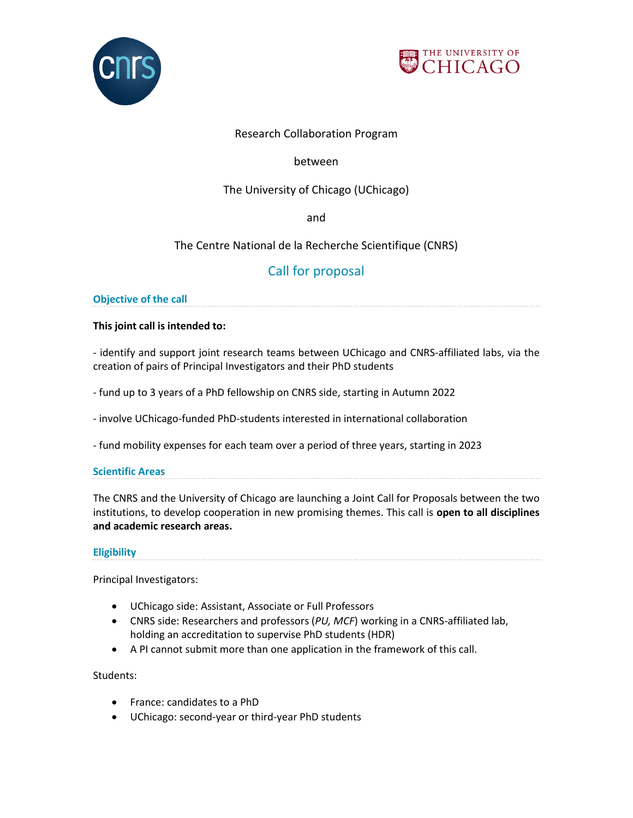



# Research Collaboration Program

# between

# The University of Chicago (UChicago)

and

# The Centre National de la Recherche Scientifique (CNRS)

# Call for proposal

# **Objective of the call**

# **This joint call is intended to:**

- identify and support joint research teams between UChicago and CNRS-affiliated labs, via the creation of pairs of Principal Investigators and their PhD students

- fund up to 3 years of a PhD fellowship on CNRS side, starting in Autumn 2022

- involve UChicago-funded PhD-students interested in international collaboration

- fund mobility expenses for each team over a period of three years, starting in 2023

# **Scientific Areas**

The CNRS and the University of Chicago are launching a Joint Call for Proposals between the two institutions, to develop cooperation in new promising themes. This call is **open to all disciplines and academic research areas.**

# **Eligibility**

Principal Investigators:

- UChicago side: Assistant, Associate or Full Professors
- CNRS side: Researchers and professors (*PU, MCF*) working in a CNRS-affiliated lab, holding an accreditation to supervise PhD students (HDR)
- A PI cannot submit more than one application in the framework of this call.

Students:

- France: candidates to a PhD
- UChicago: second-year or third-year PhD students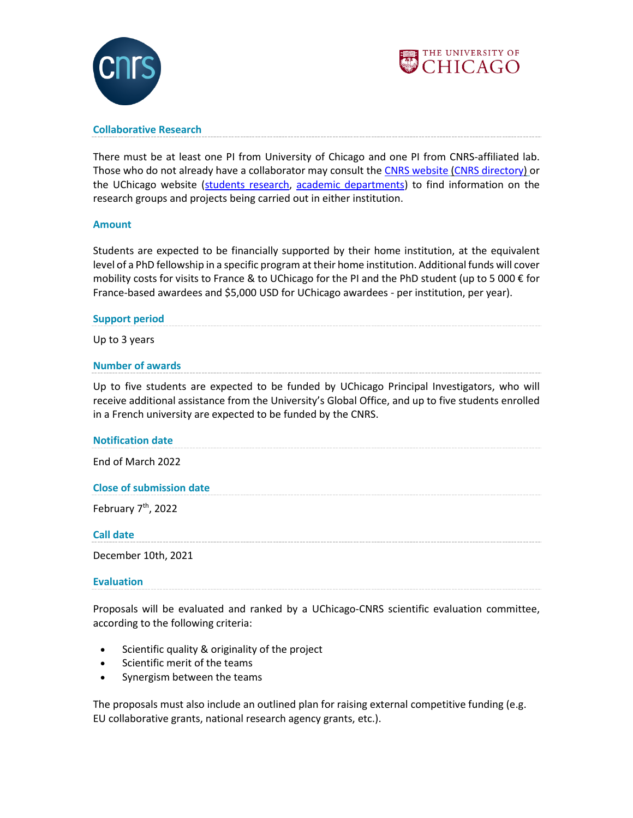



#### **Collaborative Research**

There must be at least one PI from University of Chicago and one PI from CNRS-affiliated lab. Those who do not already have a collaborator may consult the [CNRS website](https://www.cnrs.fr/en/) [\(CNRS directory\)](https://annuaire.cnrs.fr/NavigationServlet?pageName=recherche&type=UNITE) or the UChicago website [\(students research,](https://www.uchicago.edu/research/student_research/) [academic departments\)](https://www.uchicago.edu/academics/departments/) to find information on the research groups and projects being carried out in either institution.

#### **Amount**

Students are expected to be financially supported by their home institution, at the equivalent level of a PhD fellowship in a specific program at their home institution. Additional funds will cover mobility costs for visits to France & to UChicago for the PI and the PhD student (up to 5 000  $\epsilon$  for France-based awardees and \$5,000 USD for UChicago awardees - per institution, per year).

#### **Support period**

Up to 3 years

#### **Number of awards**

Up to five students are expected to be funded by UChicago Principal Investigators, who will receive additional assistance from the University's Global Office, and up to five students enrolled in a French university are expected to be funded by the CNRS.

#### **Notification date**

End of March 2022

#### **Close of submission date**

February 7<sup>th</sup>, 2022

#### **Call date**

December 10th, 2021

#### **Evaluation**

Proposals will be evaluated and ranked by a UChicago-CNRS scientific evaluation committee, according to the following criteria:

- Scientific quality & originality of the project
- Scientific merit of the teams
- Synergism between the teams

The proposals must also include an outlined plan for raising external competitive funding (e.g. EU collaborative grants, national research agency grants, etc.).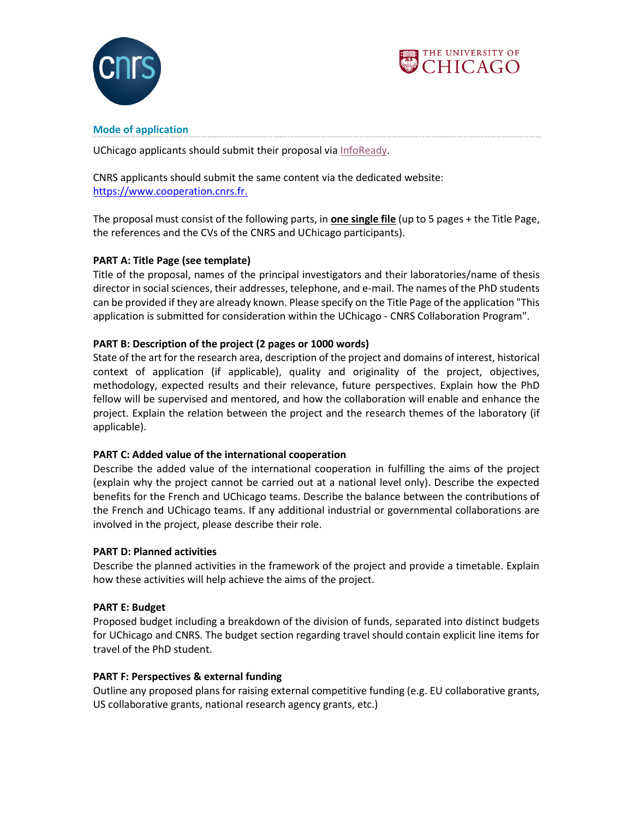



# **Mode of application**

UChicago applicants should submit their proposal via [InfoReady](https://uchicago.infoready4.com/#competitionDetail/1858040).

CNRS applicants should submit the same content via the dedicated website: [https://www.cooperation.cnrs.fr.](https://www.cooperation.cnrs.fr/)

The proposal must consist of the following parts, in **one single file** (up to 5 pages + the Title Page, the references and the CVs of the CNRS and UChicago participants).

# **PART A: Title Page (see template)**

Title of the proposal, names of the principal investigators and their laboratories/name of thesis director in social sciences, their addresses, telephone, and e-mail. The names of the PhD students can be provided if they are already known. Please specify on the Title Page of the application "This application is submitted for consideration within the UChicago - CNRS Collaboration Program".

# **PART B: Description of the project (2 pages or 1000 words)**

State of the art for the research area, description of the project and domains of interest, historical context of application (if applicable), quality and originality of the project, objectives, methodology, expected results and their relevance, future perspectives. Explain how the PhD fellow will be supervised and mentored, and how the collaboration will enable and enhance the project. Explain the relation between the project and the research themes of the laboratory (if applicable).

# **PART C: Added value of the international cooperation**

Describe the added value of the international cooperation in fulfilling the aims of the project (explain why the project cannot be carried out at a national level only). Describe the expected benefits for the French and UChicago teams. Describe the balance between the contributions of the French and UChicago teams. If any additional industrial or governmental collaborations are involved in the project, please describe their role.

# **PART D: Planned activities**

Describe the planned activities in the framework of the project and provide a timetable. Explain how these activities will help achieve the aims of the project.

# **PART E: Budget**

Proposed budget including a breakdown of the division of funds, separated into distinct budgets for UChicago and CNRS. The budget section regarding travel should contain explicit line items for travel of the PhD student.

# **PART F: Perspectives & external funding**

Outline any proposed plans for raising external competitive funding (e.g. EU collaborative grants, US collaborative grants, national research agency grants, etc.)